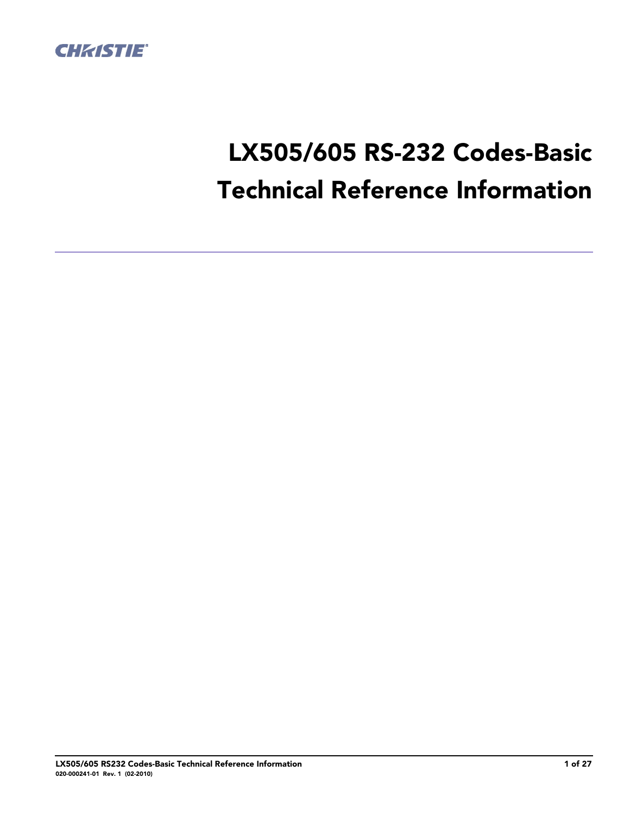

# **LX505/605 RS-232 Codes-Basic Technical Reference Information**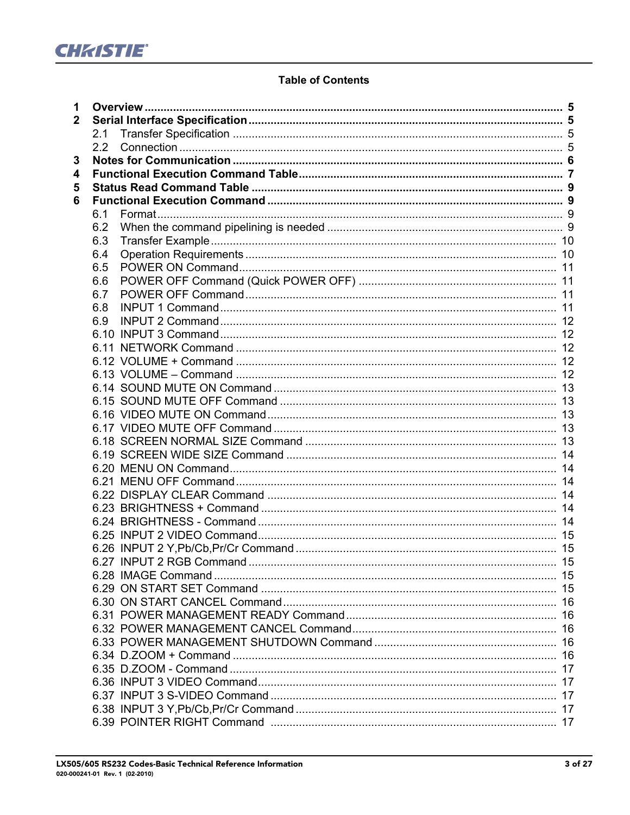

## **Table of Contents**

| 1              |                                     |  |
|----------------|-------------------------------------|--|
| $\overline{2}$ |                                     |  |
|                | 2.1                                 |  |
|                | 2.2                                 |  |
| 3              |                                     |  |
| 4              |                                     |  |
| 5              |                                     |  |
| 6              |                                     |  |
|                | 6.1                                 |  |
|                | 6.2                                 |  |
|                | 6.3                                 |  |
|                | 6.4                                 |  |
|                | 6.5                                 |  |
|                | 6.6                                 |  |
|                | 6.7                                 |  |
|                | 6.8                                 |  |
|                | 6.9                                 |  |
|                |                                     |  |
|                |                                     |  |
|                |                                     |  |
|                |                                     |  |
|                |                                     |  |
|                |                                     |  |
|                |                                     |  |
|                |                                     |  |
|                |                                     |  |
|                |                                     |  |
|                |                                     |  |
|                |                                     |  |
|                |                                     |  |
|                |                                     |  |
|                |                                     |  |
|                |                                     |  |
|                |                                     |  |
|                | 6.27 INPUT 2 RGB Command<br>………… 15 |  |
|                |                                     |  |
|                |                                     |  |
|                |                                     |  |
|                |                                     |  |
|                |                                     |  |
|                |                                     |  |
|                |                                     |  |
|                |                                     |  |
|                |                                     |  |
|                |                                     |  |
|                |                                     |  |
|                |                                     |  |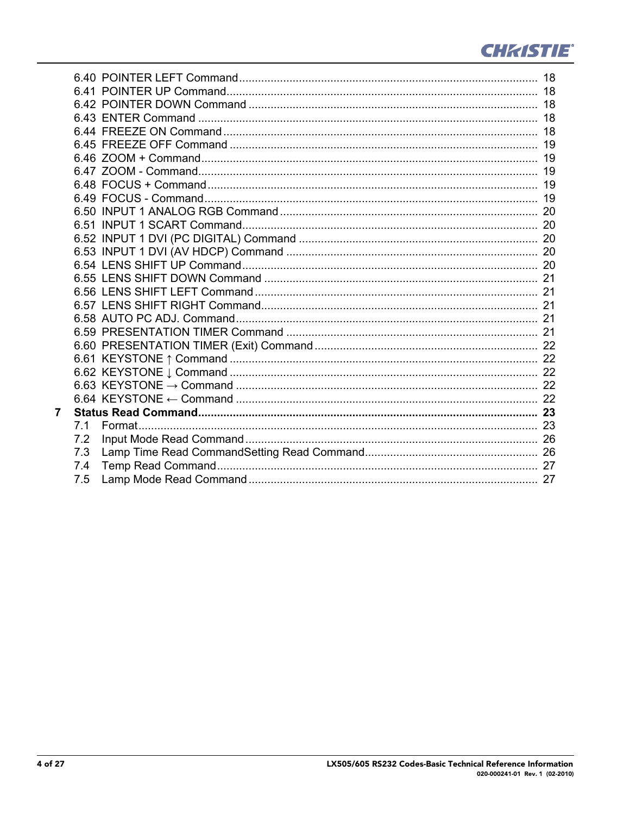

| 7 |     |  |
|---|-----|--|
|   | 7.1 |  |
|   | 7.2 |  |
|   | 7.3 |  |
|   | 7.4 |  |
|   | 7.5 |  |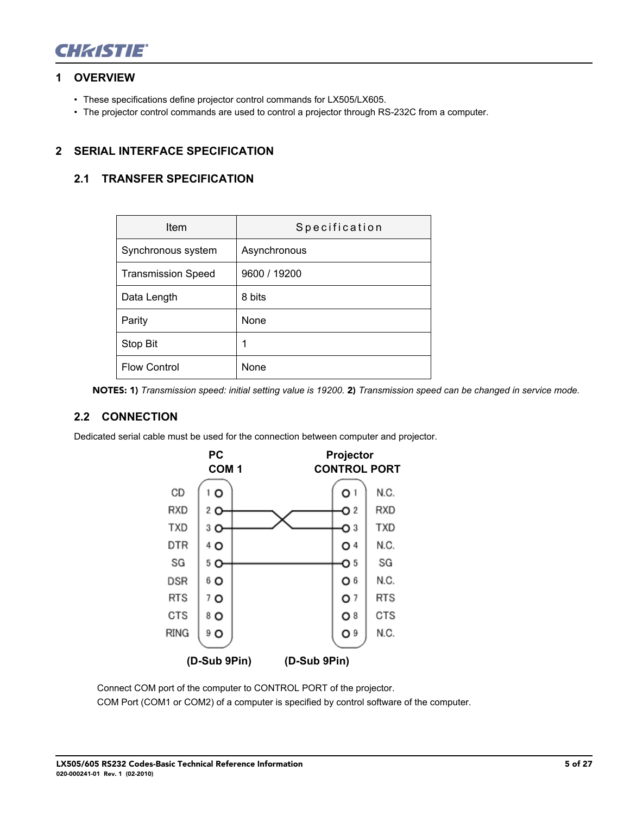

#### **[1 OVERVIEW](#page-16-0)**

- These specifications define projector control commands for LX505/LX605.
- The projector control commands are used to control a projector through RS-232C from a computer.

## **2 SERIAL INTERFACE SPECIFICATION**

## **2.1 TRANSFER SPECIFICATION**

| Item                      | Specification |
|---------------------------|---------------|
| Synchronous system        | Asynchronous  |
| <b>Transmission Speed</b> | 9600 / 19200  |
| Data Length               | 8 bits        |
| Parity                    | None          |
| Stop Bit                  | 1             |
| <b>Flow Control</b>       | <b>None</b>   |

**NOTES: 1)** *Transmission speed: initial setting value is 19200.* **2)** *Transmission speed can be changed in service mode.*

#### **2.2 CONNECTION**

Dedicated serial cable must be used for the connection between computer and projector.



Connect COM port of the computer to CONTROL PORT of the projector. COM Port (COM1 or COM2) of a computer is specified by control software of the computer.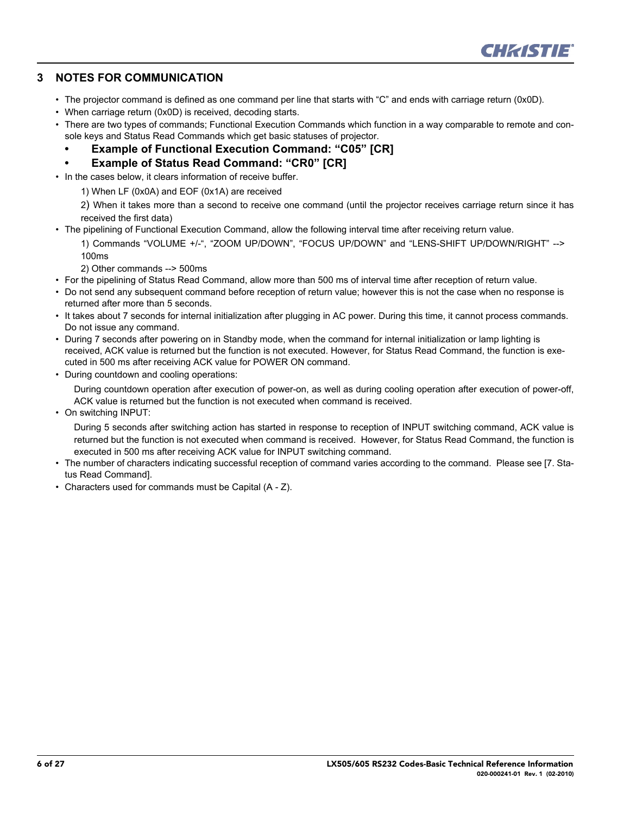

#### **3 NOTES FOR COMMUNICATION**

- The projector command is defined as one command per line that starts with "C" and ends with carriage return (0x0D).
- When carriage return (0x0D) is received, decoding starts.
- There are two types of commands; Functional Execution Commands which function in a way comparable to remote and console keys and Status Read Commands which get basic statuses of projector.
	- **Example of Functional Execution Command: "C05" [CR]**
	- **Example of Status Read Command: "CR0" [CR]**
- In the cases below, it clears information of receive buffer.
	- 1) When LF (0x0A) and EOF (0x1A) are received

2) When it takes more than a second to receive one command (until the projector receives carriage return since it has received the first data)

• The pipelining of Functional Execution Command, allow the following interval time after receiving return value.

1) Commands "VOLUME +/-", "ZOOM UP/DOWN", "FOCUS UP/DOWN" and "LENS-SHIFT UP/DOWN/RIGHT" --> 100ms

2) Other commands --> 500ms

- For the pipelining of Status Read Command, allow more than 500 ms of interval time after reception of return value.
- Do not send any subsequent command before reception of return value; however this is not the case when no response is returned after more than 5 seconds.
- It takes about 7 seconds for internal initialization after plugging in AC power. During this time, it cannot process commands. Do not issue any command.
- During 7 seconds after powering on in Standby mode, when the command for internal initialization or lamp lighting is received, ACK value is returned but the function is not executed. However, for Status Read Command, the function is executed in 500 ms after receiving ACK value for POWER ON command.
- During countdown and cooling operations:

During countdown operation after execution of power-on, as well as during cooling operation after execution of power-off, ACK value is returned but the function is not executed when command is received.

• On switching INPUT:

During 5 seconds after switching action has started in response to reception of INPUT switching command, ACK value is returned but the function is not executed when command is received. However, for Status Read Command, the function is executed in 500 ms after receiving ACK value for INPUT switching command.

- The number of characters indicating successful reception of command varies according to the command. Please see [7. Status Read Command].
- Characters used for commands must be Capital (A Z).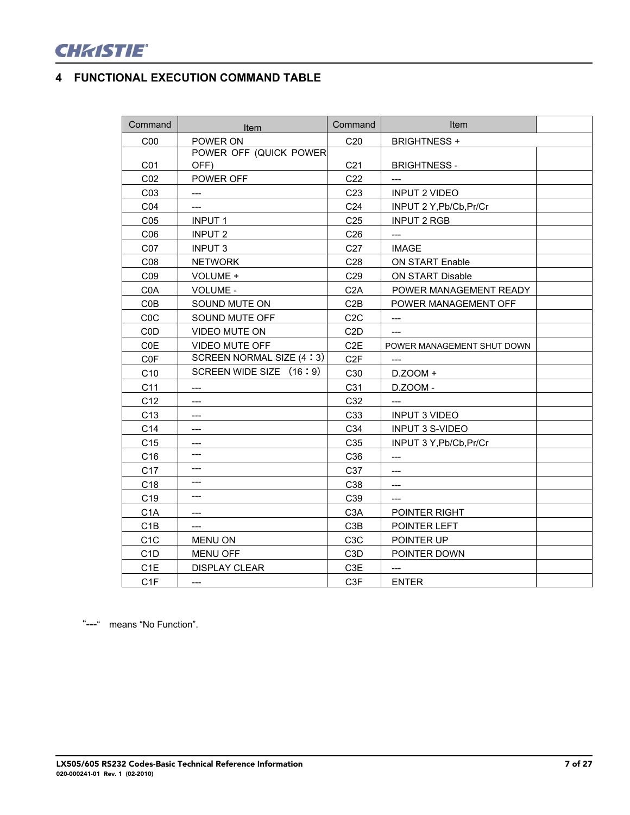

# **4 FUNCTIONAL EXECUTION COMMAND TABLE**

| Command          | Item                     | Command          | Item                       |  |
|------------------|--------------------------|------------------|----------------------------|--|
| C <sub>00</sub>  | POWER ON                 | C20              | <b>BRIGHTNESS +</b>        |  |
|                  | POWER OFF (QUICK POWER   |                  |                            |  |
| CO <sub>1</sub>  | OFF)                     | C <sub>21</sub>  | <b>BRIGHTNESS -</b>        |  |
| CO <sub>2</sub>  | POWER OFF                | C <sub>22</sub>  | $---$                      |  |
| CO <sub>3</sub>  | $\qquad \qquad - -$      | C <sub>23</sub>  | <b>INPUT 2 VIDEO</b>       |  |
| C04              | $---$                    | C <sub>24</sub>  | INPUT 2 Y, Pb/Cb, Pr/Cr    |  |
| CO <sub>5</sub>  | <b>INPUT1</b>            | C <sub>25</sub>  | <b>INPUT 2 RGB</b>         |  |
| CO6              | <b>INPUT 2</b>           | C <sub>26</sub>  | $---$                      |  |
| CO7              | <b>INPUT 3</b>           | C27              | <b>IMAGE</b>               |  |
| C08              | <b>NETWORK</b>           | C28              | ON START Enable            |  |
| CO9              | VOLUME +                 | C29              | ON START Disable           |  |
| C <sub>0</sub> A | VOLUME -                 | C <sub>2</sub> A | POWER MANAGEMENT READY     |  |
| COB              | SOUND MUTE ON            | C2B              | POWER MANAGEMENT OFF       |  |
| C <sub>0</sub> C | SOUND MUTE OFF           | C2C              | $---$                      |  |
| C <sub>0</sub> D | VIDEO MUTE ON            | C <sub>2</sub> D | $---$                      |  |
| <b>COE</b>       | VIDEO MUTE OFF           | C <sub>2</sub> E | POWER MANAGEMENT SHUT DOWN |  |
| C <sub>0</sub> F | SCREEN NORMAL SIZE (4:3) | C <sub>2F</sub>  |                            |  |
| C10              | SCREEN WIDE SIZE (16:9)  | C30              | D.ZOOM +                   |  |
| C11              |                          | C31              | D.ZOOM -                   |  |
| C12              | $---$                    | C32              | $---$                      |  |
| C <sub>13</sub>  | $---$                    | C33              | <b>INPUT 3 VIDEO</b>       |  |
| C14              | $---$                    | C34              | <b>INPUT 3 S-VIDEO</b>     |  |
| C <sub>15</sub>  | $---$                    | C35              | INPUT 3 Y, Pb/Cb, Pr/Cr    |  |
| C16              | $---$                    | C36              | $---$                      |  |
| C <sub>17</sub>  | $---$                    | C <sub>37</sub>  | ---                        |  |
| C18              | $---$                    | C38              | $---$                      |  |
| C <sub>19</sub>  | $---$                    | C39              | $---$                      |  |
| C <sub>1</sub> A | ---                      | C <sub>3</sub> A | POINTER RIGHT              |  |
| C <sub>1</sub> B | $---$                    | C <sub>3</sub> B | POINTER LEFT               |  |
| C <sub>1</sub> C | <b>MENU ON</b>           | C <sub>3</sub> C | POINTER UP                 |  |
| C <sub>1</sub> D | <b>MENU OFF</b>          | C <sub>3</sub> D | POINTER DOWN               |  |
| C <sub>1</sub> E | <b>DISPLAY CLEAR</b>     | C3E              | $---$                      |  |
| C <sub>1</sub> F | $---$                    | C3F              | <b>ENTER</b>               |  |

"---" means "No Function".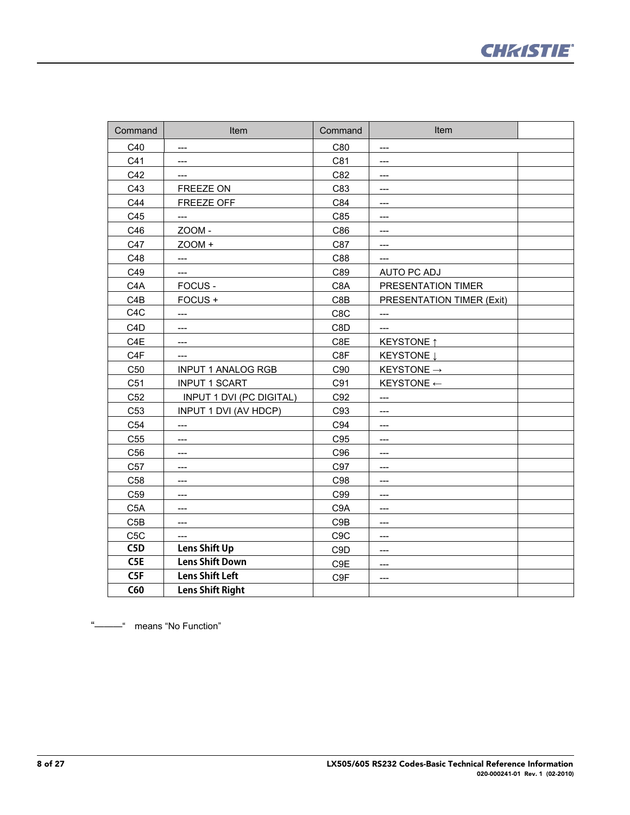

| Command          | Item                            | Command          | Item                      |  |
|------------------|---------------------------------|------------------|---------------------------|--|
| C40              | $---$                           | C80              | $---$                     |  |
| C41              | ---                             | C81              | ---                       |  |
| C42              | ---                             | C82              | ---                       |  |
| C43              | FREEZE ON                       | C83              | ---                       |  |
| C44              | FREEZE OFF                      | C84              | $---$                     |  |
| C45              | ---                             | C85              | $---$                     |  |
| C46              | ZOOM-                           | C86              | ---                       |  |
| C47              | ZOOM +                          | C87              | ---                       |  |
| C48              | ---                             | C88              | $---$                     |  |
| C49              | $---$                           | C89              | AUTO PC ADJ               |  |
| C <sub>4</sub> A | FOCUS -                         | C <sub>8</sub> A | PRESENTATION TIMER        |  |
| C <sub>4</sub> B | FOCUS+                          | C8B              | PRESENTATION TIMER (Exit) |  |
| C <sub>4</sub> C | ---                             | C8C              | $---$                     |  |
| C <sub>4</sub> D | ---                             | C8D              | $---$                     |  |
| C <sub>4</sub> E | ---                             | C8E              | <b>KEYSTONE</b> ↑         |  |
| C <sub>4</sub> F | ---                             | C8F              | KEYSTONE Į                |  |
| C <sub>50</sub>  | <b>INPUT 1 ANALOG RGB</b>       | C90              | KEYSTONE $\rightarrow$    |  |
| C51              | <b>INPUT 1 SCART</b>            | C91              | KEYSTONE $\leftarrow$     |  |
| C52              | <b>INPUT 1 DVI (PC DIGITAL)</b> | C92              | ---                       |  |
| C <sub>53</sub>  | INPUT 1 DVI (AV HDCP)           | C93              | ---                       |  |
| C <sub>54</sub>  | ---                             | C94              | ---                       |  |
| C <sub>55</sub>  | ---                             | C95              | ---                       |  |
| C56              | ---                             | C96              | $---$                     |  |
| C <sub>57</sub>  | ---                             | C97              | ---                       |  |
| C58              | ---                             | C98              | ---                       |  |
| C <sub>59</sub>  | $---$                           | C99              | $---$                     |  |
| C <sub>5</sub> A | $---$                           | C <sub>9</sub> A | $---$                     |  |
| C5B              | ---                             | C9B              | ---                       |  |
| C <sub>5</sub> C | $---$                           | C <sub>9</sub> C | $---$                     |  |
| C5D              | Lens Shift Up                   | C <sub>9</sub> D | ---                       |  |
| C5E              | <b>Lens Shift Down</b>          | C9E              | $---$                     |  |
| C5F              | <b>Lens Shift Left</b>          | C9F              | $---$                     |  |
| <b>C60</b>       | <b>Lens Shift Right</b>         |                  |                           |  |

"———" means "No Function"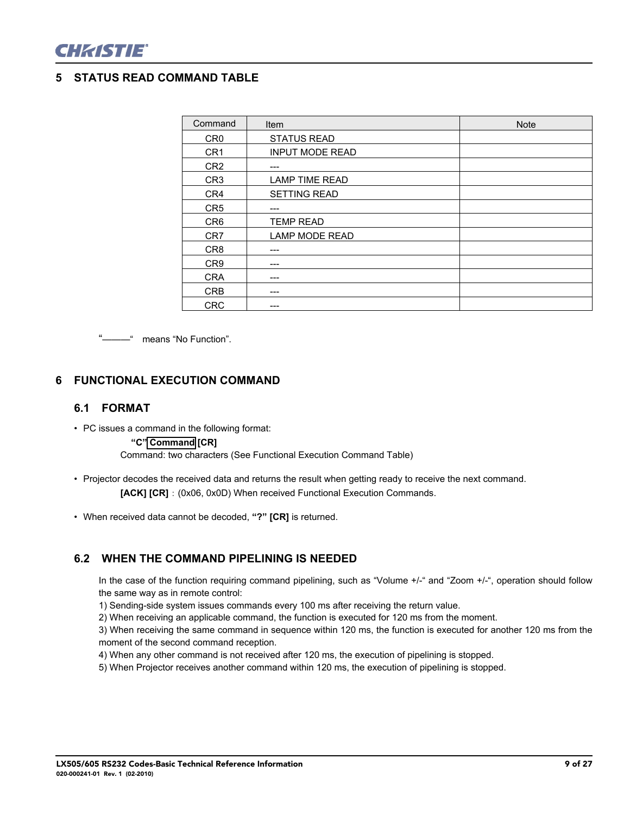

### **5 STATUS READ COMMAND TABLE**

| Command         | Item                   | <b>Note</b> |
|-----------------|------------------------|-------------|
| CR <sub>0</sub> | <b>STATUS READ</b>     |             |
| CR <sub>1</sub> | <b>INPUT MODE READ</b> |             |
| CR <sub>2</sub> | $---$                  |             |
| CR <sub>3</sub> | <b>LAMP TIME READ</b>  |             |
| CR4             | <b>SETTING READ</b>    |             |
| CR <sub>5</sub> | ---                    |             |
| CR <sub>6</sub> | <b>TEMP READ</b>       |             |
| CR <sub>7</sub> | <b>LAMP MODE READ</b>  |             |
| CR <sub>8</sub> | ---                    |             |
| CR <sub>9</sub> | ---                    |             |
| <b>CRA</b>      | ---                    |             |
| <b>CRB</b>      | ---                    |             |
| <b>CRC</b>      | ---                    |             |

"———" means "No Function".

#### **6 FUNCTIONAL EXECUTION COMMAND**

#### **6.1 FORMAT**

• PC issues a command in the following format:

#### **"C" Command [CR]**

Command: two characters (See Functional Execution Command Table)

- Projector decodes the received data and returns the result when getting ready to receive the next command. [ACK] [CR] : (0x06, 0x0D) When received Functional Execution Commands.
- When received data cannot be decoded, **"?" [CR]** is returned.

## **6.2 WHEN THE COMMAND PIPELINING IS NEEDED**

In the case of the function requiring command pipelining, such as "Volume +/-" and "Zoom +/-", operation should follow the same way as in remote control:

1) Sending-side system issues commands every 100 ms after receiving the return value.

2) When receiving an applicable command, the function is executed for 120 ms from the moment.

3) When receiving the same command in sequence within 120 ms, the function is executed for another 120 ms from the moment of the second command reception.

4) When any other command is not received after 120 ms, the execution of pipelining is stopped.

5) When Projector receives another command within 120 ms, the execution of pipelining is stopped.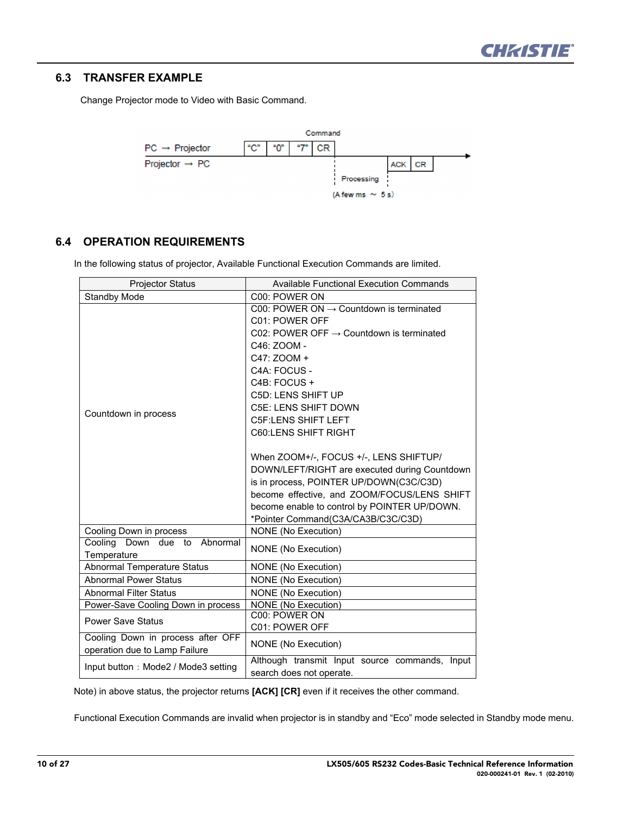

#### **6.3 TRANSFER EXAMPLE**

Change Projector mode to Video with Basic Command.



#### **6.4 OPERATION REQUIREMENTS**

In the following status of projector, Available Functional Execution Commands are limited.

| <b>Projector Status</b>             | <b>Available Functional Execution Commands</b>       |
|-------------------------------------|------------------------------------------------------|
| <b>Standby Mode</b>                 | C00: POWER ON                                        |
|                                     | C00: POWER ON $\rightarrow$ Countdown is terminated  |
|                                     | C01: POWER OFF                                       |
|                                     | C02: POWER OFF $\rightarrow$ Countdown is terminated |
|                                     | C46: ZOOM -                                          |
|                                     | C47: ZOOM +                                          |
|                                     | C4A: FOCUS -                                         |
|                                     | C4B: FOCUS +                                         |
|                                     | C5D: LENS SHIFT UP                                   |
| Countdown in process                | C5E: LENS SHIFT DOWN                                 |
|                                     | <b>C5F:LENS SHIFT LEFT</b>                           |
|                                     | <b>C60:LENS SHIFT RIGHT</b>                          |
|                                     |                                                      |
|                                     | When ZOOM+/-, FOCUS +/-, LENS SHIFTUP/               |
|                                     | DOWN/LEFT/RIGHT are executed during Countdown        |
|                                     | is in process, POINTER UP/DOWN(C3C/C3D)              |
|                                     | become effective, and ZOOM/FOCUS/LENS SHIFT          |
|                                     | become enable to control by POINTER UP/DOWN.         |
|                                     | *Pointer Command(C3A/CA3B/C3C/C3D)                   |
| Cooling Down in process             | NONE (No Execution)                                  |
| Cooling<br>Down due to<br>Abnormal  | NONE (No Execution)                                  |
| Temperature                         |                                                      |
| <b>Abnormal Temperature Status</b>  | NONE (No Execution)                                  |
| <b>Abnormal Power Status</b>        | <b>NONE</b> (No Execution)                           |
| <b>Abnormal Filter Status</b>       | NONE (No Execution)                                  |
| Power-Save Cooling Down in process  | <b>NONE</b> (No Execution)<br>C00: POWER ON          |
| <b>Power Save Status</b>            |                                                      |
| Cooling Down in process after OFF   | C01: POWER OFF                                       |
| operation due to Lamp Failure       | NONE (No Execution)                                  |
|                                     | Although transmit Input source commands, Input       |
| Input button: Mode2 / Mode3 setting | search does not operate.                             |

Note) in above status, the projector returns **[ACK] [CR]** even if it receives the other command.

Functional Execution Commands are invalid when projector is in standby and "Eco" mode selected in Standby mode menu.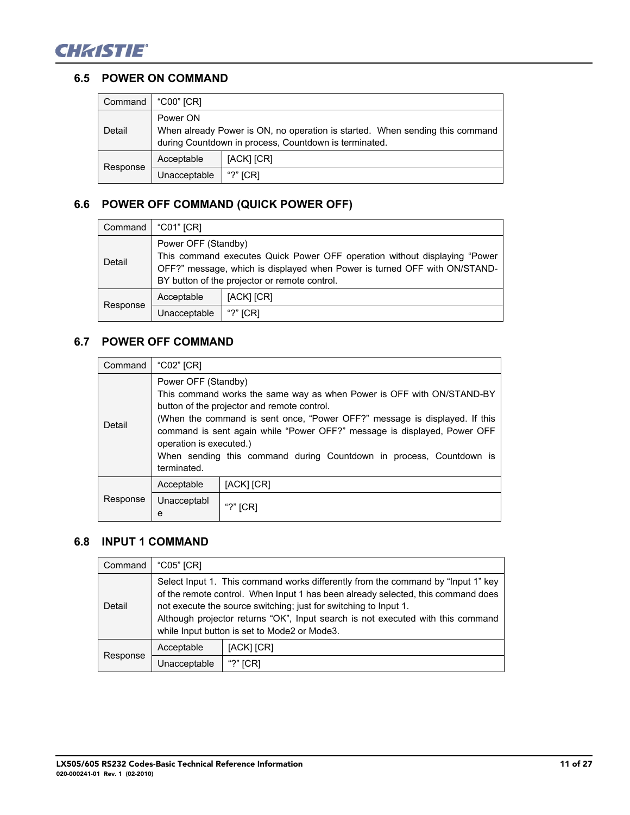

#### **6.5 POWER ON COMMAND**

| Command  | "C00" [CR]                                                                                                                                        |            |  |
|----------|---------------------------------------------------------------------------------------------------------------------------------------------------|------------|--|
| Detail   | Power ON<br>When already Power is ON, no operation is started. When sending this command<br>during Countdown in process, Countdown is terminated. |            |  |
|          | Acceptable                                                                                                                                        | [ACK] [CR] |  |
| Response | Unacceptable                                                                                                                                      | "?" $[CR]$ |  |

## **6.6 POWER OFF COMMAND (QUICK POWER OFF)**

| Command  | "C01" [CR]                                                                                                                                                                                                                     |            |  |
|----------|--------------------------------------------------------------------------------------------------------------------------------------------------------------------------------------------------------------------------------|------------|--|
| Detail   | Power OFF (Standby)<br>This command executes Quick Power OFF operation without displaying "Power<br>OFF?" message, which is displayed when Power is turned OFF with ON/STAND-<br>BY button of the projector or remote control. |            |  |
|          | Acceptable                                                                                                                                                                                                                     | [ACK] [CR] |  |
| Response | Unacceptable                                                                                                                                                                                                                   | "?" $ICRI$ |  |

## **6.7 POWER OFF COMMAND**

| Command  | "C02" $[CR]$                                                  |                                                                                                                                                                                                                                                                                                                                                       |  |
|----------|---------------------------------------------------------------|-------------------------------------------------------------------------------------------------------------------------------------------------------------------------------------------------------------------------------------------------------------------------------------------------------------------------------------------------------|--|
| Detail   | Power OFF (Standby)<br>operation is executed.)<br>terminated. | This command works the same way as when Power is OFF with ON/STAND-BY<br>button of the projector and remote control.<br>(When the command is sent once, "Power OFF?" message is displayed. If this<br>command is sent again while "Power OFF?" message is displayed, Power OFF<br>When sending this command during Countdown in process, Countdown is |  |
|          | Acceptable                                                    | [ACK] [CR]                                                                                                                                                                                                                                                                                                                                            |  |
| Response | Unacceptabl<br>e                                              | "?" $[CR]$                                                                                                                                                                                                                                                                                                                                            |  |

## **6.8 INPUT 1 COMMAND**

| Command                                                                                                                                                                                                                                                                                                                                                                               | "C05" [CR]   |            |  |
|---------------------------------------------------------------------------------------------------------------------------------------------------------------------------------------------------------------------------------------------------------------------------------------------------------------------------------------------------------------------------------------|--------------|------------|--|
| Select Input 1. This command works differently from the command by "Input 1" key<br>of the remote control. When Input 1 has been already selected, this command does<br>not execute the source switching; just for switching to Input 1.<br>Detail<br>Although projector returns "OK", Input search is not executed with this command<br>while Input button is set to Mode2 or Mode3. |              |            |  |
|                                                                                                                                                                                                                                                                                                                                                                                       | Acceptable   | [ACK] [CR] |  |
| Response                                                                                                                                                                                                                                                                                                                                                                              | Unacceptable | "?" $ICRI$ |  |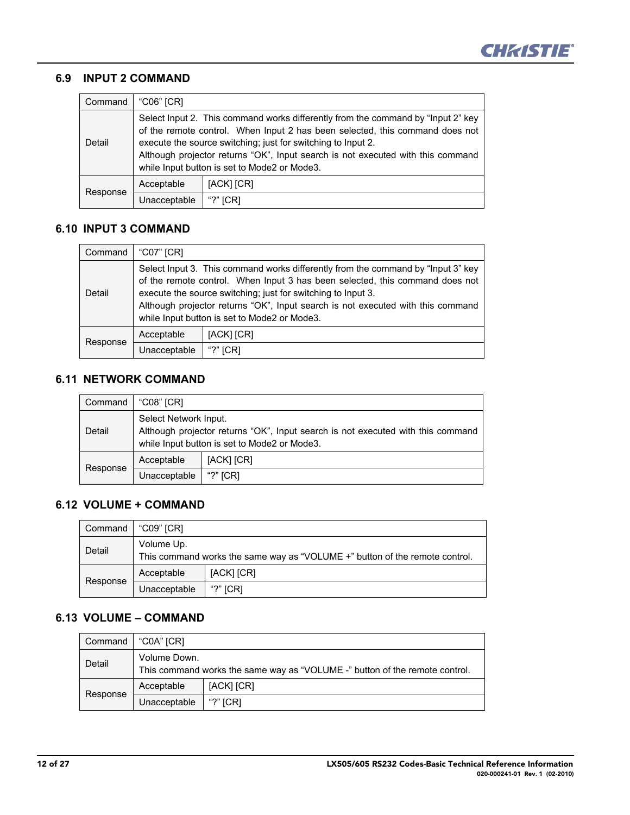

## **6.9 INPUT 2 COMMAND**

| Command  | "C06" [CR]                                                                                                                                                                                                                                                                                                                                                          |             |  |
|----------|---------------------------------------------------------------------------------------------------------------------------------------------------------------------------------------------------------------------------------------------------------------------------------------------------------------------------------------------------------------------|-------------|--|
| Detail   | Select Input 2. This command works differently from the command by "lnput 2" key<br>of the remote control. When Input 2 has been selected, this command does not<br>execute the source switching; just for switching to Input 2.<br>Although projector returns "OK", Input search is not executed with this command<br>while Input button is set to Mode2 or Mode3. |             |  |
|          | Acceptable                                                                                                                                                                                                                                                                                                                                                          | [ACK] [CR]  |  |
| Response | Unacceptable                                                                                                                                                                                                                                                                                                                                                        | "?"<br>[CR] |  |

#### **6.10 INPUT 3 COMMAND**

| Command  | "C07" [CR]   |                                                                                                                                                                                                                                                                                                                                                                     |
|----------|--------------|---------------------------------------------------------------------------------------------------------------------------------------------------------------------------------------------------------------------------------------------------------------------------------------------------------------------------------------------------------------------|
| Detail   |              | Select Input 3. This command works differently from the command by "Input 3" key<br>of the remote control. When Input 3 has been selected, this command does not<br>execute the source switching; just for switching to Input 3.<br>Although projector returns "OK", Input search is not executed with this command<br>while Input button is set to Mode2 or Mode3. |
|          | Acceptable   | [ACK] [CR]                                                                                                                                                                                                                                                                                                                                                          |
| Response | Unacceptable | "?" $ICRI$                                                                                                                                                                                                                                                                                                                                                          |

#### **6.11 NETWORK COMMAND**

| Command  | "C08" [CR]                                                                                                                                               |            |
|----------|----------------------------------------------------------------------------------------------------------------------------------------------------------|------------|
| Detail   | Select Network Input.<br>Although projector returns "OK", Input search is not executed with this command<br>while Input button is set to Mode2 or Mode3. |            |
|          | Acceptable                                                                                                                                               | [ACK] [CR] |
| Response | Unacceptable                                                                                                                                             | "?" $ICRI$ |

## **6.12 VOLUME + COMMAND**

| Command  | "C09" ICRI   |                                                                             |
|----------|--------------|-----------------------------------------------------------------------------|
| Detail   | Volume Up.   | This command works the same way as "VOLUME +" button of the remote control. |
| Response | Acceptable   | [ACK] [CR]                                                                  |
|          | Unacceptable | "?" $ICRI$                                                                  |

## **6.13 VOLUME – COMMAND**

| Command  | "C0A" [CR]                                                                  |            |
|----------|-----------------------------------------------------------------------------|------------|
| Detail   | Volume Down.                                                                |            |
|          | This command works the same way as "VOLUME -" button of the remote control. |            |
| Response | Acceptable                                                                  | [ACK] [CR] |
|          | Unacceptable                                                                | "?" $ICRI$ |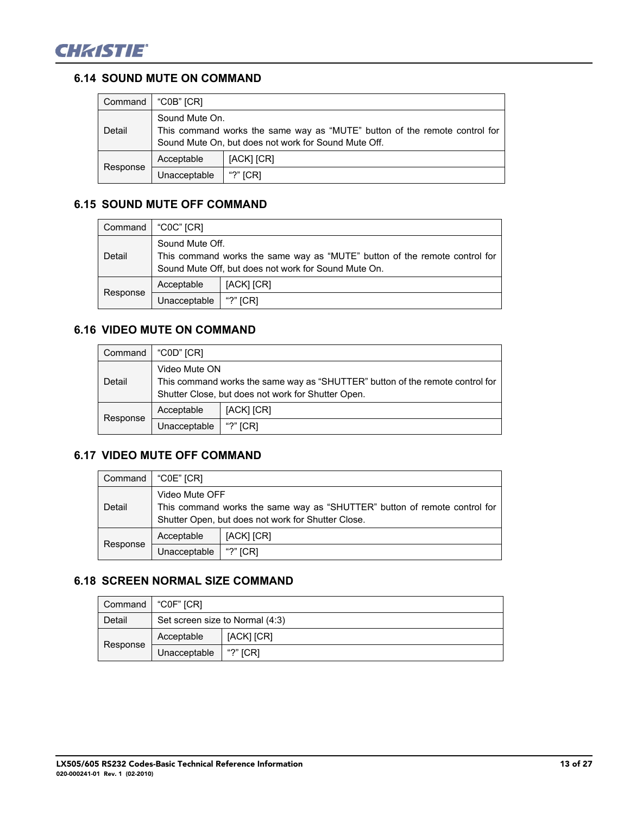

## **6.14 SOUND MUTE ON COMMAND**

| Command  | "C0B" [CR]                                                                                                                                           |             |
|----------|------------------------------------------------------------------------------------------------------------------------------------------------------|-------------|
| Detail   | Sound Mute On.<br>This command works the same way as "MUTE" button of the remote control for<br>Sound Mute On, but does not work for Sound Mute Off. |             |
| Response | Acceptable                                                                                                                                           | [ACK] [CR]  |
|          | Unacceptable                                                                                                                                         | <b>ICRI</b> |

## **6.15 SOUND MUTE OFF COMMAND**

| Command  | "C0C" [CR]      |                                                                                                                                    |
|----------|-----------------|------------------------------------------------------------------------------------------------------------------------------------|
| Detail   | Sound Mute Off. | This command works the same way as "MUTE" button of the remote control for<br>Sound Mute Off, but does not work for Sound Mute On. |
| Response | Acceptable      | [ACK] [CR]                                                                                                                         |
|          | Unacceptable    | "?" $ICRI$                                                                                                                         |

# **6.16 VIDEO MUTE ON COMMAND**

| Command  | "C0D" [CR]    |                                                                                                                                     |
|----------|---------------|-------------------------------------------------------------------------------------------------------------------------------------|
| Detail   | Video Mute ON | This command works the same way as "SHUTTER" button of the remote control for<br>Shutter Close, but does not work for Shutter Open. |
| Response | Acceptable    | [ACK] [CR]                                                                                                                          |
|          | Unacceptable  | "?" $ICRI$                                                                                                                          |

## **6.17 VIDEO MUTE OFF COMMAND**

| Command  | "C0E" [CR]     |                                                                                                                                 |
|----------|----------------|---------------------------------------------------------------------------------------------------------------------------------|
| Detail   | Video Mute OFF | This command works the same way as "SHUTTER" button of remote control for<br>Shutter Open, but does not work for Shutter Close. |
| Response | Acceptable     | [ACK] [CR]                                                                                                                      |
|          | Unacceptable   | "?" $ICRI$                                                                                                                      |

## **6.18 SCREEN NORMAL SIZE COMMAND**

| Command  | "C0F" ICRI   |                                 |
|----------|--------------|---------------------------------|
| Detail   |              | Set screen size to Normal (4:3) |
| Response | Acceptable   | [ACK] [CR]                      |
|          | Unacceptable | "?" $ICRI$                      |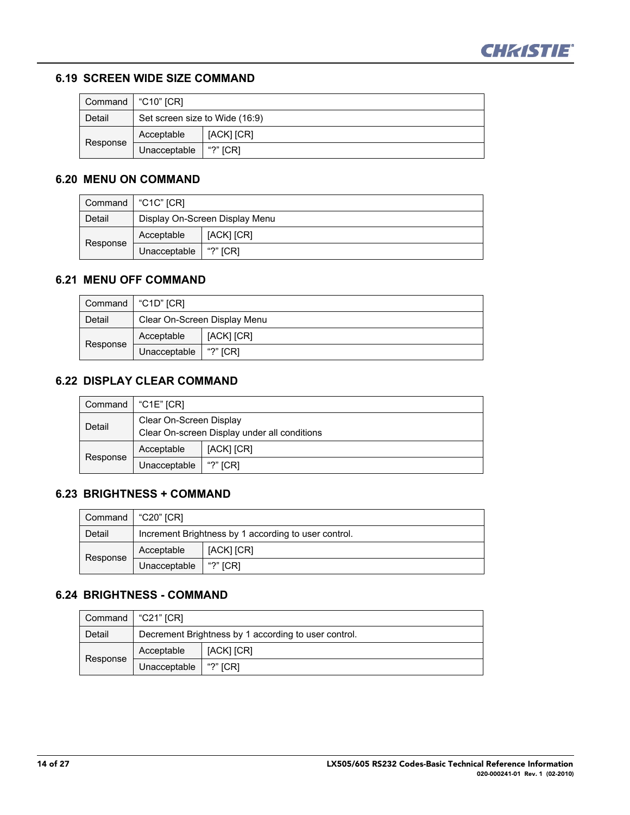

#### **6.19 SCREEN WIDE SIZE COMMAND**

| Command  | "C10" [CR]                     |            |
|----------|--------------------------------|------------|
| Detail   | Set screen size to Wide (16:9) |            |
|          | Acceptable                     | [ACK] [CR] |
| Response | Unacceptable                   | "?" $ICRI$ |

## **6.20 MENU ON COMMAND**

| Command  | "C1C" [CR]   |                                |
|----------|--------------|--------------------------------|
| Detail   |              | Display On-Screen Display Menu |
|          | Acceptable   | [ACK] [CR]                     |
| Response | Unacceptable | "?" $ICRI$                     |

## **6.21 MENU OFF COMMAND**

| Command  | "C1D" [CR]                   |            |
|----------|------------------------------|------------|
| Detail   | Clear On-Screen Display Menu |            |
|          | Acceptable                   | [ACK] [CR] |
| Response | Unacceptable                 | "?" $ICRI$ |

## **6.22 DISPLAY CLEAR COMMAND**

| Command  | "C1E" [CR]                                                              |            |
|----------|-------------------------------------------------------------------------|------------|
| Detail   | Clear On-Screen Display<br>Clear On-screen Display under all conditions |            |
| Response | Acceptable                                                              | [ACK] [CR] |
|          | Unacceptable                                                            | "?" $[CR]$ |

## **6.23 BRIGHTNESS + COMMAND**

| Command  | i "C20" [CR]                                         |            |
|----------|------------------------------------------------------|------------|
| Detail   | Increment Brightness by 1 according to user control. |            |
|          | Acceptable                                           | [ACK] [CR] |
| Response | Unacceptable                                         | "?" $ICRI$ |

## **6.24 BRIGHTNESS - COMMAND**

| Command  | "C21" ICRI                                           |            |
|----------|------------------------------------------------------|------------|
| Detail   | Decrement Brightness by 1 according to user control. |            |
| Response | Acceptable                                           | [ACK] [CR] |
|          | Unacceptable                                         | "?" ICRI   |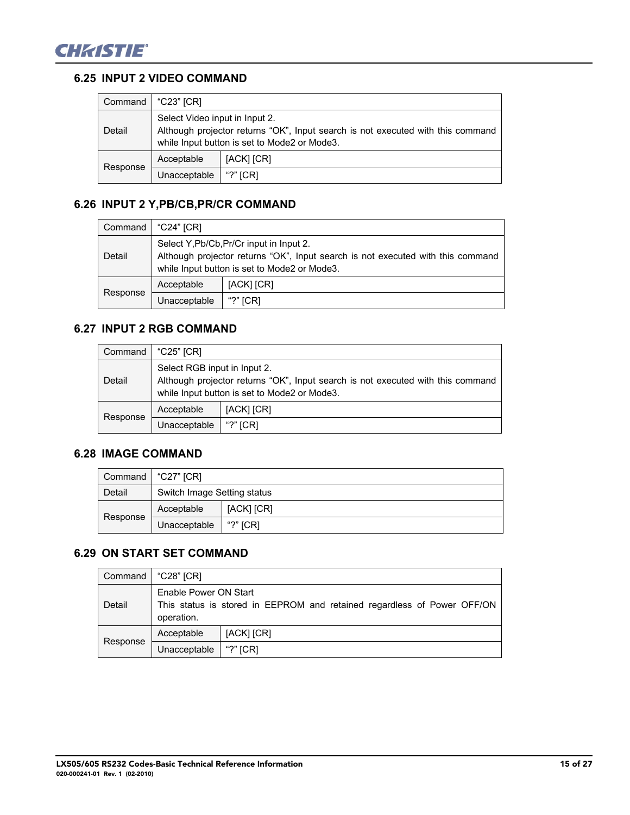

## **6.25 INPUT 2 VIDEO COMMAND**

| Command  | "C23" [CR]                                                                                                                                                        |            |
|----------|-------------------------------------------------------------------------------------------------------------------------------------------------------------------|------------|
| Detail   | Select Video input in Input 2.<br>Although projector returns "OK", Input search is not executed with this command<br>while Input button is set to Mode2 or Mode3. |            |
| Response | Acceptable                                                                                                                                                        | [ACK] [CR] |
|          | Unacceptable                                                                                                                                                      | "?" $ICRI$ |

## **6.26 INPUT 2 Y,PB/CB,PR/CR COMMAND**

| Command  | "C24" [CR]                                                                                                                                                                  |            |
|----------|-----------------------------------------------------------------------------------------------------------------------------------------------------------------------------|------------|
| Detail   | Select Y, Pb/Cb, Pr/Cr input in Input 2.<br>Although projector returns "OK", Input search is not executed with this command<br>while Input button is set to Mode2 or Mode3. |            |
|          | Acceptable                                                                                                                                                                  | [ACK] [CR] |
| Response | Unacceptable                                                                                                                                                                | "?" $ICRI$ |

## **6.27 INPUT 2 RGB COMMAND**

| Command  | "C25" [CR]                                                                                                                                                      |            |
|----------|-----------------------------------------------------------------------------------------------------------------------------------------------------------------|------------|
| Detail   | Select RGB input in Input 2.<br>Although projector returns "OK", Input search is not executed with this command<br>while Input button is set to Mode2 or Mode3. |            |
| Response | Acceptable                                                                                                                                                      | [ACK] [CR] |
|          | Unacceptable                                                                                                                                                    | "?" $ICRI$ |

## **6.28 IMAGE COMMAND**

|          | Command   "C27" [CR]        |            |
|----------|-----------------------------|------------|
| Detail   | Switch Image Setting status |            |
| Response | Acceptable                  | [ACK] [CR] |
|          | Unacceptable                | "?" $ICRI$ |

## **6.29 ON START SET COMMAND**

| Command  | "C28" [CR]                                                                                                     |            |
|----------|----------------------------------------------------------------------------------------------------------------|------------|
| Detail   | Enable Power ON Start<br>This status is stored in EEPROM and retained regardless of Power OFF/ON<br>operation. |            |
| Response | Acceptable                                                                                                     | [ACK] [CR] |
|          | Jnacceptable                                                                                                   | "?" $ICRI$ |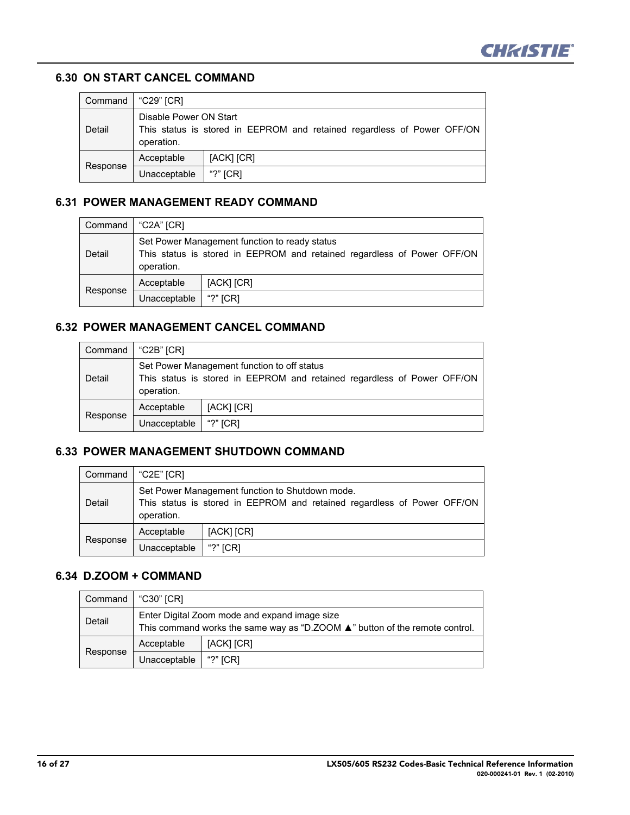

#### **6.30 ON START CANCEL COMMAND**

| Command  | "C29" [CR]                                                                                                      |            |
|----------|-----------------------------------------------------------------------------------------------------------------|------------|
| Detail   | Disable Power ON Start<br>This status is stored in EEPROM and retained regardless of Power OFF/ON<br>operation. |            |
|          | Acceptable                                                                                                      | [ACK] [CR] |
| Response | Unacceptable                                                                                                    | "?" $[CR]$ |

## **6.31 POWER MANAGEMENT READY COMMAND**

| Command  | "C2A" [CR]                                                                                                                             |            |
|----------|----------------------------------------------------------------------------------------------------------------------------------------|------------|
| Detail   | Set Power Management function to ready status<br>This status is stored in EEPROM and retained regardless of Power OFF/ON<br>operation. |            |
|          | Acceptable                                                                                                                             | [ACK] [CR] |
| Response | Unacceptable                                                                                                                           | "?" [CR]   |

#### **6.32 POWER MANAGEMENT CANCEL COMMAND**

| Command  | "C2B" [CR]                                                                                                                           |            |
|----------|--------------------------------------------------------------------------------------------------------------------------------------|------------|
| Detail   | Set Power Management function to off status<br>This status is stored in EEPROM and retained regardless of Power OFF/ON<br>operation. |            |
| Response | Acceptable                                                                                                                           | [ACK] [CR] |
|          | Unacceptable                                                                                                                         | "?" $ICRI$ |

#### **6.33 POWER MANAGEMENT SHUTDOWN COMMAND**

| Command  | "C2E" [CR]                                                                                                                               |            |
|----------|------------------------------------------------------------------------------------------------------------------------------------------|------------|
| Detail   | Set Power Management function to Shutdown mode.<br>This status is stored in EEPROM and retained regardless of Power OFF/ON<br>operation. |            |
| Response | Acceptable                                                                                                                               | [ACK] [CR] |
|          | Unacceptable                                                                                                                             | "?" $ICRI$ |

#### **6.34 D.ZOOM + COMMAND**

| Command  | "C30" [CR]                                                                                                                                   |            |
|----------|----------------------------------------------------------------------------------------------------------------------------------------------|------------|
| Detail   | Enter Digital Zoom mode and expand image size<br>This command works the same way as "D.ZOOM $\blacktriangle$ " button of the remote control. |            |
| Response | Acceptable                                                                                                                                   | [ACK] [CR] |
|          | Unacceptable                                                                                                                                 | "?" $ICRI$ |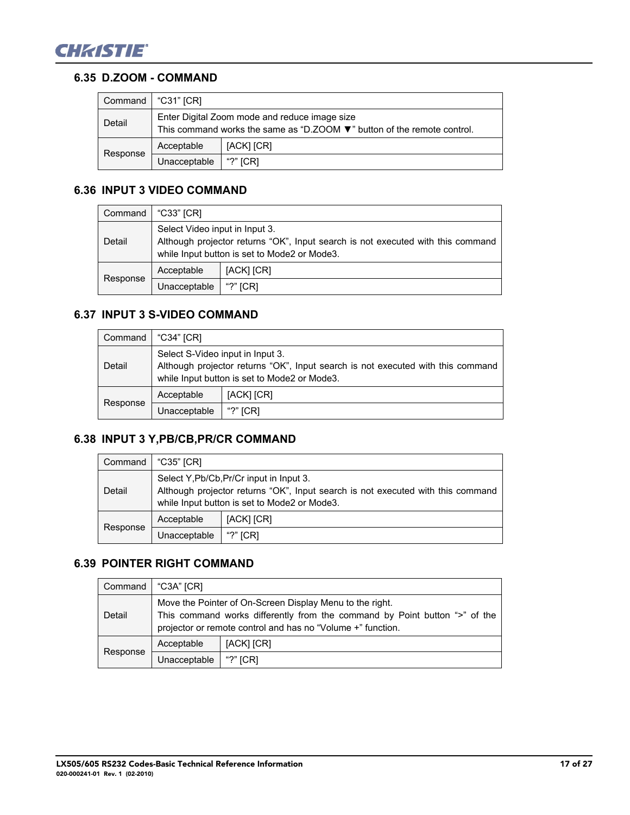

### **6.35 D.ZOOM - COMMAND**

|          | Command   "C31" [CR]                                                                                                     |            |
|----------|--------------------------------------------------------------------------------------------------------------------------|------------|
| Detail   | Enter Digital Zoom mode and reduce image size<br>This command works the same as "D.ZOOM ▼" button of the remote control. |            |
| Response | Acceptable                                                                                                               | [ACK] [CR] |
|          | Unacceptable                                                                                                             | "?" $ICRI$ |

## **6.36 INPUT 3 VIDEO COMMAND**

| Command  | "C33" [CR]                                                                                                                                                        |            |
|----------|-------------------------------------------------------------------------------------------------------------------------------------------------------------------|------------|
| Detail   | Select Video input in Input 3.<br>Although projector returns "OK", Input search is not executed with this command<br>while Input button is set to Mode2 or Mode3. |            |
| Response | Acceptable                                                                                                                                                        | [ACK] [CR] |
|          | Unacceptable                                                                                                                                                      | "?" $ICRI$ |

## **6.37 INPUT 3 S-VIDEO COMMAND**

| Command  | "C34" [CR]                                                                                                                                                          |            |
|----------|---------------------------------------------------------------------------------------------------------------------------------------------------------------------|------------|
| Detail   | Select S-Video input in Input 3.<br>Although projector returns "OK", Input search is not executed with this command<br>while Input button is set to Mode2 or Mode3. |            |
| Response | Acceptable                                                                                                                                                          | [ACK] [CR] |
|          | Unacceptable                                                                                                                                                        | "?" $ICRI$ |

# <span id="page-16-0"></span>**6.38 INPUT 3 Y,PB/CB,PR/CR COMMAND**

| Command  | "C35" [CR]                                                                                                                                                                  |            |
|----------|-----------------------------------------------------------------------------------------------------------------------------------------------------------------------------|------------|
| Detail   | Select Y, Pb/Cb, Pr/Cr input in Input 3.<br>Although projector returns "OK", Input search is not executed with this command<br>while Input button is set to Mode2 or Mode3. |            |
| Response | Acceptable                                                                                                                                                                  | [ACK] [CR] |
|          | Unacceptable                                                                                                                                                                | "?" $ICRI$ |

## **6.39 POINTER RIGHT COMMAND**

| Command  | "C3A" [CR]                                                                                                                                                                                            |            |
|----------|-------------------------------------------------------------------------------------------------------------------------------------------------------------------------------------------------------|------------|
| Detail   | Move the Pointer of On-Screen Display Menu to the right.<br>This command works differently from the command by Point button ">" of the<br>projector or remote control and has no "Volume +" function. |            |
| Response | Acceptable                                                                                                                                                                                            | [ACK] [CR] |
|          | Unacceptable                                                                                                                                                                                          | "?" $ICRI$ |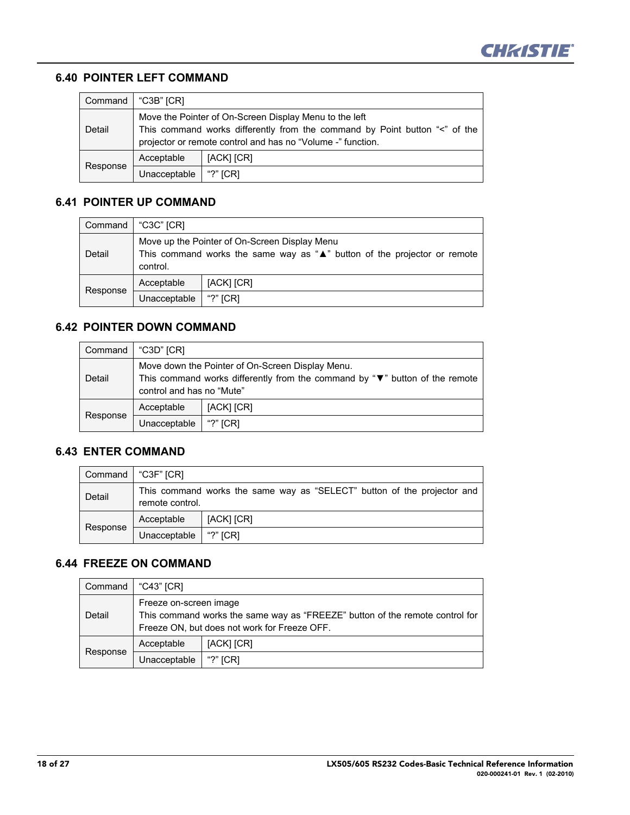

#### **6.40 POINTER LEFT COMMAND**

| Command  | "C3B" [CR]                                                                                                                                                                                          |            |
|----------|-----------------------------------------------------------------------------------------------------------------------------------------------------------------------------------------------------|------------|
| Detail   | Move the Pointer of On-Screen Display Menu to the left<br>This command works differently from the command by Point button "<" of the<br>projector or remote control and has no "Volume -" function. |            |
| Response | Acceptable                                                                                                                                                                                          | [ACK] [CR] |
|          | Unacceptable                                                                                                                                                                                        | "?" $[CR]$ |

#### **6.41 POINTER UP COMMAND**

| Command  | "C3C" [CR]                                                                                                                                        |            |
|----------|---------------------------------------------------------------------------------------------------------------------------------------------------|------------|
| Detail   | Move up the Pointer of On-Screen Display Menu<br>This command works the same way as " $\triangle$ " button of the projector or remote<br>control. |            |
| Response | Acceptable                                                                                                                                        | [ACK] [CR] |
|          | Unacceptable                                                                                                                                      | "?" $ICRI$ |

#### **6.42 POINTER DOWN COMMAND**

| Command  | "C3D" [CR]                                                                                                                                                            |            |
|----------|-----------------------------------------------------------------------------------------------------------------------------------------------------------------------|------------|
| Detail   | Move down the Pointer of On-Screen Display Menu.<br>This command works differently from the command by " $\nabla$ " button of the remote<br>control and has no "Mute" |            |
| Response | Acceptable                                                                                                                                                            | [ACK] [CR] |
|          | Unacceptable                                                                                                                                                          | "?" $[CR]$ |

#### **6.43 ENTER COMMAND**

| Command   "C3F" [CR] |                                                                                            |            |
|----------------------|--------------------------------------------------------------------------------------------|------------|
| Detail               | This command works the same way as "SELECT" button of the projector and<br>remote control. |            |
| Response             | Acceptable                                                                                 | [ACK] [CR] |
|                      | Unacceptable                                                                               | "?" $ICRI$ |

## **6.44 FREEZE ON COMMAND**

| Command  | "C43" [CR]                                                                                                                                             |            |
|----------|--------------------------------------------------------------------------------------------------------------------------------------------------------|------------|
| Detail   | Freeze on-screen image<br>This command works the same way as "FREEZE" button of the remote control for<br>Freeze ON, but does not work for Freeze OFF. |            |
| Response | Acceptable                                                                                                                                             | [ACK] [CR] |
|          | Unacceptable                                                                                                                                           | "?" $[CR]$ |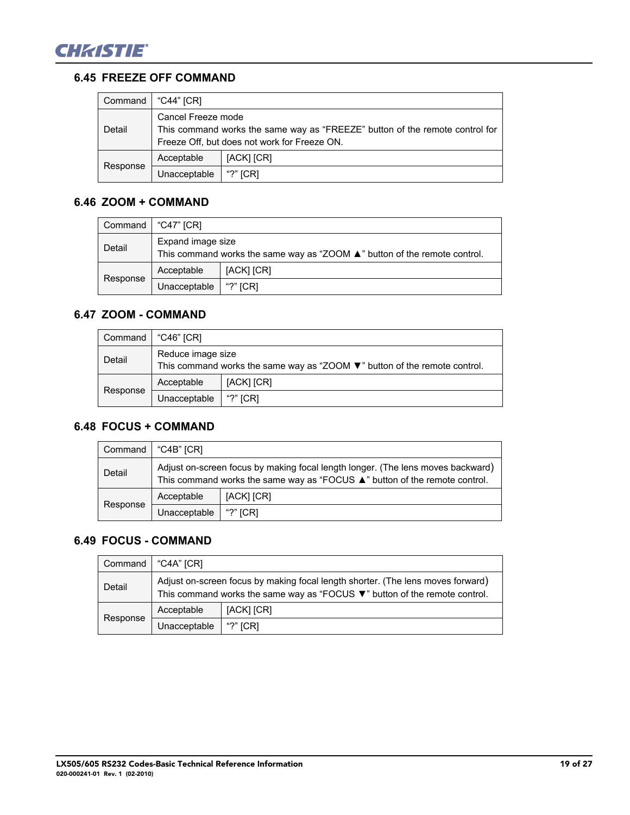

#### **6.45 FREEZE OFF COMMAND**

| Command  | "C44" [CR]                                                                                                                                         |            |
|----------|----------------------------------------------------------------------------------------------------------------------------------------------------|------------|
| Detail   | Cancel Freeze mode<br>This command works the same way as "FREEZE" button of the remote control for<br>Freeze Off, but does not work for Freeze ON. |            |
| Response | Acceptable                                                                                                                                         | [ACK] [CR] |
|          | Unacceptable                                                                                                                                       | "?" $ICRI$ |

#### **6.46 ZOOM + COMMAND**

| Command  | . "C47" [CR]                                                                                   |            |
|----------|------------------------------------------------------------------------------------------------|------------|
| Detail   | Expand image size<br>This command works the same way as "ZOOM ▲" button of the remote control. |            |
|          | Acceptable                                                                                     | [ACK] [CR] |
| Response | Unacceptable                                                                                   | "?" $ICRI$ |

## **6.47 ZOOM - COMMAND**

| Command  | ∣ "C46" ICR1                                                                                                          |            |
|----------|-----------------------------------------------------------------------------------------------------------------------|------------|
| Detail   | Reduce image size<br>This command works the same way as " $200M$ $\blacktriangledown$ " button of the remote control. |            |
|          | Acceptable                                                                                                            | [ACK] [CR] |
| Response | Unacceptable                                                                                                          | "?" $ICRI$ |

## **6.48 FOCUS + COMMAND**

| Command  | "C4B" [CR]                                                                                                                                                    |            |
|----------|---------------------------------------------------------------------------------------------------------------------------------------------------------------|------------|
| Detail   | Adjust on-screen focus by making focal length longer. (The lens moves backward)<br>This command works the same way as "FOCUS ▲" button of the remote control. |            |
|          | Acceptable                                                                                                                                                    | [ACK] [CR] |
| Response | Unacceptable                                                                                                                                                  | "?" $[CR]$ |

## **6.49 FOCUS - COMMAND**

| Command  | "C4A" [CR]                                                                                                                                                                        |            |
|----------|-----------------------------------------------------------------------------------------------------------------------------------------------------------------------------------|------------|
| Detail   | Adjust on-screen focus by making focal length shorter. (The lens moves forward)<br>This command works the same way as "FOCUS $\blacktriangledown$ " button of the remote control. |            |
|          | Acceptable                                                                                                                                                                        | [ACK] [CR] |
| Response | Unacceptable                                                                                                                                                                      | "?" $ICRI$ |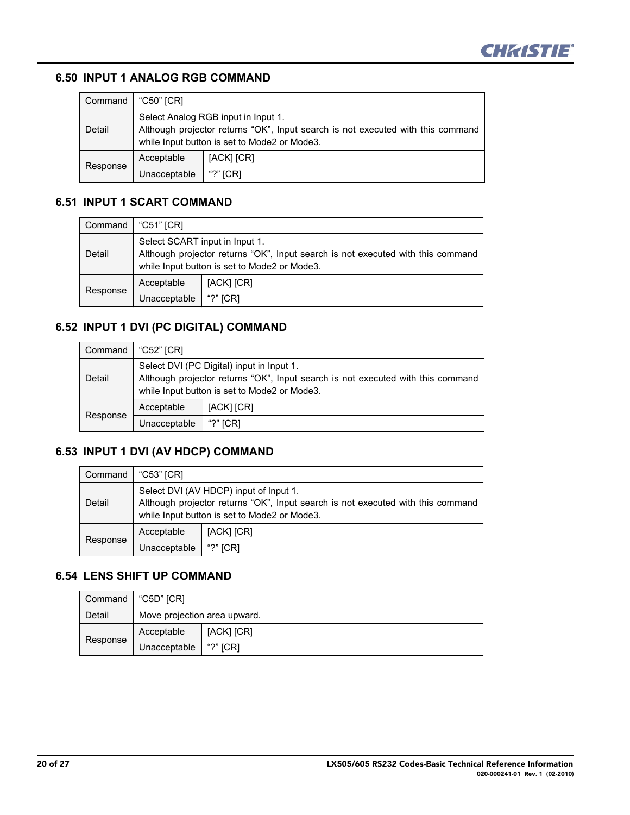

#### **6.50 INPUT 1 ANALOG RGB COMMAND**

| Command  | "C50" [CR]                                                                                                                                                             |            |
|----------|------------------------------------------------------------------------------------------------------------------------------------------------------------------------|------------|
| Detail   | Select Analog RGB input in Input 1.<br>Although projector returns "OK", Input search is not executed with this command<br>while Input button is set to Mode2 or Mode3. |            |
|          | Acceptable                                                                                                                                                             | [ACK] [CR] |
| Response | Unacceptable                                                                                                                                                           | "?" $[CR]$ |

#### **6.51 INPUT 1 SCART COMMAND**

| Command  | "C51" [CR]                                                                                                                                                        |            |
|----------|-------------------------------------------------------------------------------------------------------------------------------------------------------------------|------------|
| Detail   | Select SCART input in Input 1.<br>Although projector returns "OK", Input search is not executed with this command<br>while Input button is set to Mode2 or Mode3. |            |
|          | Acceptable                                                                                                                                                        | [ACK] [CR] |
| Response | Unacceptable                                                                                                                                                      | "?" $ICRI$ |

## **6.52 INPUT 1 DVI (PC DIGITAL) COMMAND**

| Command  | "C52" [CR]                                                                                                                                                                   |            |
|----------|------------------------------------------------------------------------------------------------------------------------------------------------------------------------------|------------|
| Detail   | Select DVI (PC Digital) input in Input 1.<br>Although projector returns "OK", Input search is not executed with this command<br>while Input button is set to Mode2 or Mode3. |            |
| Response | Acceptable                                                                                                                                                                   | [ACK] [CR] |
|          | Unacceptable                                                                                                                                                                 | "?" $[CR]$ |

## **6.53 INPUT 1 DVI (AV HDCP) COMMAND**

| Command  | "C53" [CR]   |                                                                                                                                                                           |
|----------|--------------|---------------------------------------------------------------------------------------------------------------------------------------------------------------------------|
| Detail   |              | Select DVI (AV HDCP) input of Input 1.<br>Although projector returns "OK", Input search is not executed with this command<br>while Input button is set to Mode2 or Mode3. |
|          | Acceptable   | [ACK] [CR]                                                                                                                                                                |
| Response | Unacceptable | "?" $[CR]$                                                                                                                                                                |

## **6.54 LENS SHIFT UP COMMAND**

| Command  | "C5D" ICRI                   |            |
|----------|------------------------------|------------|
| Detail   | Move projection area upward. |            |
| Response | Acceptable                   | [ACK] [CR] |
|          | Unacceptable                 | "?" $ICRI$ |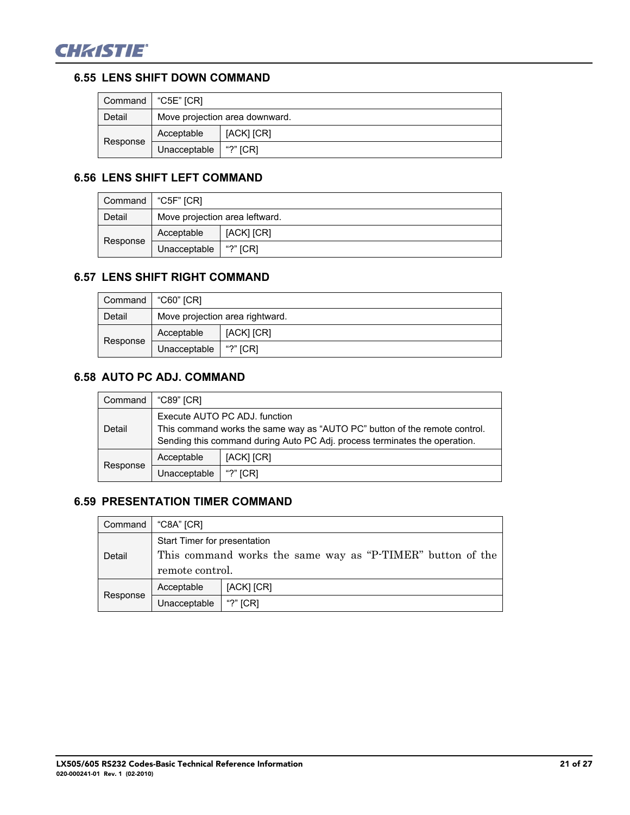

#### **6.55 LENS SHIFT DOWN COMMAND**

| Command  | "C5E" ICRI   |                                |
|----------|--------------|--------------------------------|
| Detail   |              | Move projection area downward. |
| Response | Acceptable   | [ACK] [CR]                     |
|          | Unacceptable | "?" $ICRI$                     |

## **6.56 LENS SHIFT LEFT COMMAND**

|          | Command   "C5F" [CR]           |            |
|----------|--------------------------------|------------|
| Detail   | Move projection area leftward. |            |
| Response | Acceptable                     | [ACK] [CR] |
|          | Unacceptable                   | "?" $ICRI$ |

## **6.57 LENS SHIFT RIGHT COMMAND**

| Command  | "C60" [CR]   |                                 |
|----------|--------------|---------------------------------|
| Detail   |              | Move projection area rightward. |
|          | Acceptable   | [ACK] [CR]                      |
| Response | Unacceptable | "?" $ICRI$                      |

## **6.58 AUTO PC ADJ. COMMAND**

| Command  | "C89" [CR]                                                                                                                                                                                |            |
|----------|-------------------------------------------------------------------------------------------------------------------------------------------------------------------------------------------|------------|
| Detail   | Execute AUTO PC ADJ, function<br>This command works the same way as "AUTO PC" button of the remote control.<br>Sending this command during Auto PC Adj. process terminates the operation. |            |
| Response | Acceptable                                                                                                                                                                                | [ACK] [CR] |
|          | Unacceptable                                                                                                                                                                              | "?" $ICRI$ |

## **6.59 PRESENTATION TIMER COMMAND**

| Command  | "C8A" [CR]                                                 |            |
|----------|------------------------------------------------------------|------------|
|          | Start Timer for presentation                               |            |
| Detail   | This command works the same way as "P-TIMER" button of the |            |
|          | remote control.                                            |            |
| Response | Acceptable                                                 | [ACK] [CR] |
|          | Unacceptable                                               | "?" $[CR]$ |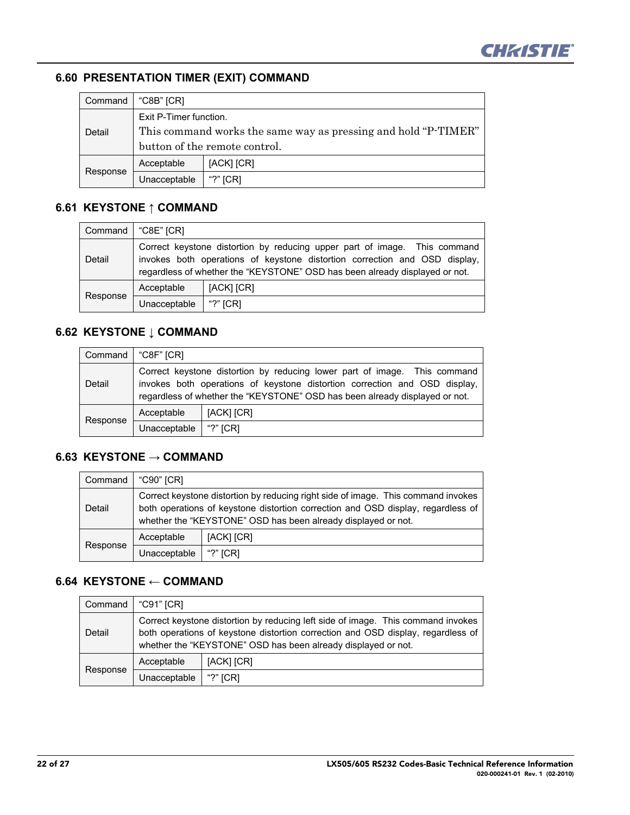

## **6.60 PRESENTATION TIMER (EXIT) COMMAND**

| Command  | "C8B" [CR]                                                     |            |
|----------|----------------------------------------------------------------|------------|
|          | Exit P-Timer function.                                         |            |
| Detail   | This command works the same way as pressing and hold "P-TIMER" |            |
|          | button of the remote control.                                  |            |
| Response | Acceptable                                                     | [ACK] [CR] |
|          | Unacceptable                                                   | "?" $ICRI$ |

## **6.61 KEYSTONE ↑ COMMAND**

| Command  | "C8E" [CR]   |                                                                                                                                                                                                                                        |
|----------|--------------|----------------------------------------------------------------------------------------------------------------------------------------------------------------------------------------------------------------------------------------|
| Detail   |              | Correct keystone distortion by reducing upper part of image. This command<br>invokes both operations of keystone distortion correction and OSD display,<br>regardless of whether the "KEYSTONE" OSD has been already displayed or not. |
| Response | Acceptable   | [ACK] [CR]                                                                                                                                                                                                                             |
|          | Unacceptable | "?" $[CR]$                                                                                                                                                                                                                             |

## **6.62 KEYSTONE ↓ COMMAND**

| Command  | $^{\circ}$ C8F" [CR]                                                                                                                                                                                                                   |            |
|----------|----------------------------------------------------------------------------------------------------------------------------------------------------------------------------------------------------------------------------------------|------------|
| Detail   | Correct keystone distortion by reducing lower part of image. This command<br>invokes both operations of keystone distortion correction and OSD display,<br>regardless of whether the "KEYSTONE" OSD has been already displayed or not. |            |
| Response | Acceptable                                                                                                                                                                                                                             | [ACK] [CR] |
|          | Unacceptable                                                                                                                                                                                                                           | "?" [CR]   |

## **6.63 KEYSTONE → COMMAND**

| Command  | "C90" [CR]   |                                                                                                                                                                                                                                        |
|----------|--------------|----------------------------------------------------------------------------------------------------------------------------------------------------------------------------------------------------------------------------------------|
| Detail   |              | Correct keystone distortion by reducing right side of image. This command invokes<br>both operations of keystone distortion correction and OSD display, regardless of<br>whether the "KEYSTONE" OSD has been already displayed or not. |
| Response | Acceptable   | [ACK] [CR]                                                                                                                                                                                                                             |
|          | Unacceptable | "?" $[CR]$                                                                                                                                                                                                                             |

## **6.64 KEYSTONE ← COMMAND**

| Command  | "C91" [CR]   |                                                                                                                                                                                                                                       |
|----------|--------------|---------------------------------------------------------------------------------------------------------------------------------------------------------------------------------------------------------------------------------------|
| Detail   |              | Correct keystone distortion by reducing left side of image. This command invokes<br>both operations of keystone distortion correction and OSD display, regardless of<br>whether the "KEYSTONE" OSD has been already displayed or not. |
| Response | Acceptable   | [ACK] [CR]                                                                                                                                                                                                                            |
|          | Unacceptable | "?" $[CR]$                                                                                                                                                                                                                            |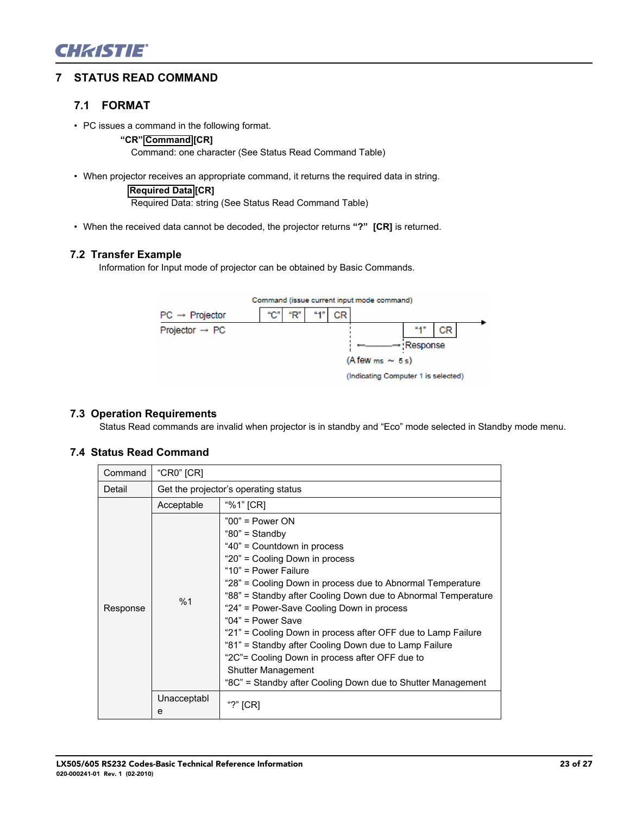

#### **7 STATUS READ COMMAND**

#### **7.1 FORMAT**

- PC issues a command in the following format.
	- **"CR" Command [CR]**

Command: one character (See Status Read Command Table)

• When projector receives an appropriate command, it returns the required data in string.

**Required Data [CR]** Required Data: string (See Status Read Command Table)

• When the received data cannot be decoded, the projector returns **"?" [CR]** is returned.

#### **7.2 Transfer Example**

Information for Input mode of projector can be obtained by Basic Commands.



#### **7.3 Operation Requirements**

Status Read commands are invalid when projector is in standby and "Eco" mode selected in Standby mode menu.

#### **7.4 Status Read Command**

| Command  | "CR0" $[CR]$     |                                                                                                                                                                                                                                                                                                                                                                                                                                                                                                                                                                                                        |
|----------|------------------|--------------------------------------------------------------------------------------------------------------------------------------------------------------------------------------------------------------------------------------------------------------------------------------------------------------------------------------------------------------------------------------------------------------------------------------------------------------------------------------------------------------------------------------------------------------------------------------------------------|
| Detail   |                  | Get the projector's operating status                                                                                                                                                                                                                                                                                                                                                                                                                                                                                                                                                                   |
|          | Acceptable       | "%1" [CR]                                                                                                                                                                                                                                                                                                                                                                                                                                                                                                                                                                                              |
| Response | %1               | $"00"$ = Power ON<br>"80" = $Standbv$<br>"40" = Countdown in process<br>"20" = Cooling Down in process<br>"10" = Power Failure<br>"28" = Cooling Down in process due to Abnormal Temperature<br>"88" = Standby after Cooling Down due to Abnormal Temperature<br>"24" = Power-Save Cooling Down in process<br>"04" = Power Save<br>"21" = Cooling Down in process after OFF due to Lamp Failure<br>"81" = Standby after Cooling Down due to Lamp Failure<br>"2C"= Cooling Down in process after OFF due to<br><b>Shutter Management</b><br>"8C" = Standby after Cooling Down due to Shutter Management |
|          | Unacceptabl<br>e | "?" [CR]                                                                                                                                                                                                                                                                                                                                                                                                                                                                                                                                                                                               |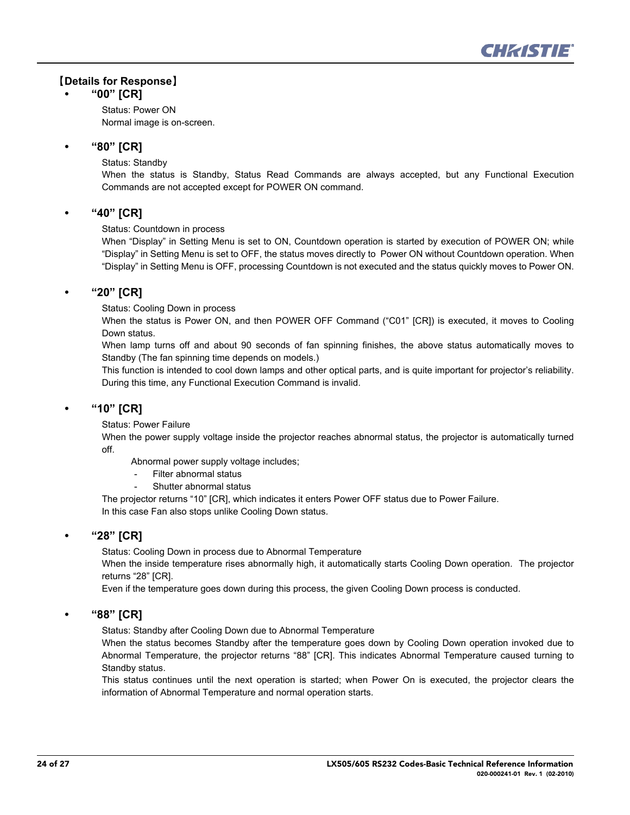

#### ޣ**Details for Response**ޤ

#### **• "00" [CR]**

Status: Power ON Normal image is on-screen.

#### **• "80" [CR]**

Status: Standby

When the status is Standby, Status Read Commands are always accepted, but any Functional Execution Commands are not accepted except for POWER ON command.

#### **• "40" [CR]**

Status: Countdown in process

When "Display" in Setting Menu is set to ON, Countdown operation is started by execution of POWER ON; while "Display" in Setting Menu is set to OFF, the status moves directly to Power ON without Countdown operation. When "Display" in Setting Menu is OFF, processing Countdown is not executed and the status quickly moves to Power ON.

#### **• "20" [CR]**

Status: Cooling Down in process

When the status is Power ON, and then POWER OFF Command ("C01" [CR]) is executed, it moves to Cooling Down status.

When lamp turns off and about 90 seconds of fan spinning finishes, the above status automatically moves to Standby (The fan spinning time depends on models.)

This function is intended to cool down lamps and other optical parts, and is quite important for projector's reliability. During this time, any Functional Execution Command is invalid.

#### **• "10" [CR]**

Status: Power Failure

When the power supply voltage inside the projector reaches abnormal status, the projector is automatically turned off.

Abnormal power supply voltage includes;

- Filter abnormal status
- Shutter abnormal status

The projector returns "10" [CR], which indicates it enters Power OFF status due to Power Failure. In this case Fan also stops unlike Cooling Down status.

#### **• "28" [CR]**

Status: Cooling Down in process due to Abnormal Temperature

When the inside temperature rises abnormally high, it automatically starts Cooling Down operation. The projector returns "28" [CR].

Even if the temperature goes down during this process, the given Cooling Down process is conducted.

#### **• "88" [CR]**

Status: Standby after Cooling Down due to Abnormal Temperature

When the status becomes Standby after the temperature goes down by Cooling Down operation invoked due to Abnormal Temperature, the projector returns "88" [CR]. This indicates Abnormal Temperature caused turning to Standby status.

This status continues until the next operation is started; when Power On is executed, the projector clears the information of Abnormal Temperature and normal operation starts.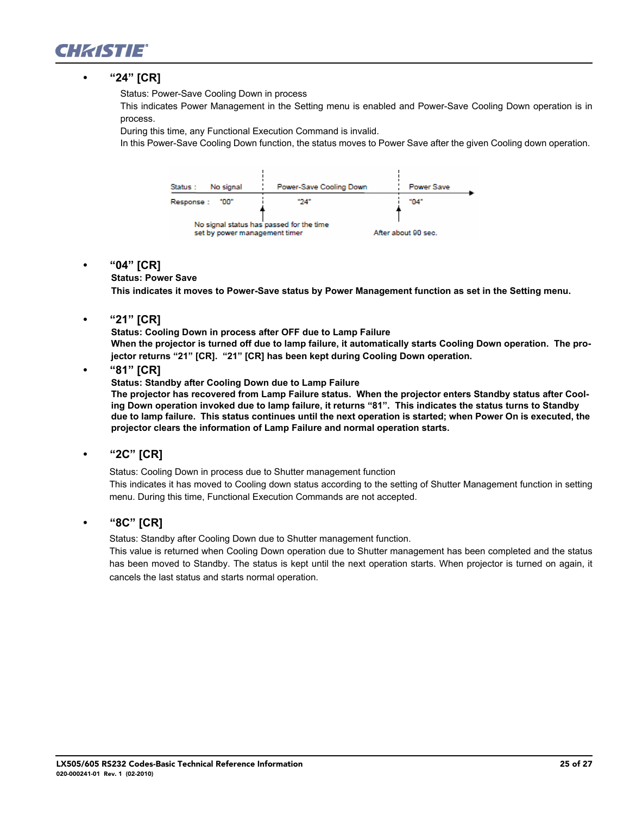

#### **• "24" [CR]**

Status: Power-Save Cooling Down in process

This indicates Power Management in the Setting menu is enabled and Power-Save Cooling Down operation is in process.

During this time, any Functional Execution Command is invalid.

In this Power-Save Cooling Down function, the status moves to Power Save after the given Cooling down operation.



#### **• "04" [CR]**

#### **Status: Power Save**

**This indicates it moves to Power-Save status by Power Management function as set in the Setting menu.**

**• "21" [CR]** 

**Status: Cooling Down in process after OFF due to Lamp Failure When the projector is turned off due to lamp failure, it automatically starts Cooling Down operation. The projector returns "21" [CR]. "21" [CR] has been kept during Cooling Down operation.** 

**• "81" [CR]**

**Status: Standby after Cooling Down due to Lamp Failure**

**The projector has recovered from Lamp Failure status. When the projector enters Standby status after Cooling Down operation invoked due to lamp failure, it returns "81". This indicates the status turns to Standby due to lamp failure. This status continues until the next operation is started; when Power On is executed, the projector clears the information of Lamp Failure and normal operation starts.** 

**• "2C" [CR]**

Status: Cooling Down in process due to Shutter management function

This indicates it has moved to Cooling down status according to the setting of Shutter Management function in setting menu. During this time, Functional Execution Commands are not accepted.

**• "8C" [CR]**

Status: Standby after Cooling Down due to Shutter management function.

This value is returned when Cooling Down operation due to Shutter management has been completed and the status has been moved to Standby. The status is kept until the next operation starts. When projector is turned on again, it cancels the last status and starts normal operation.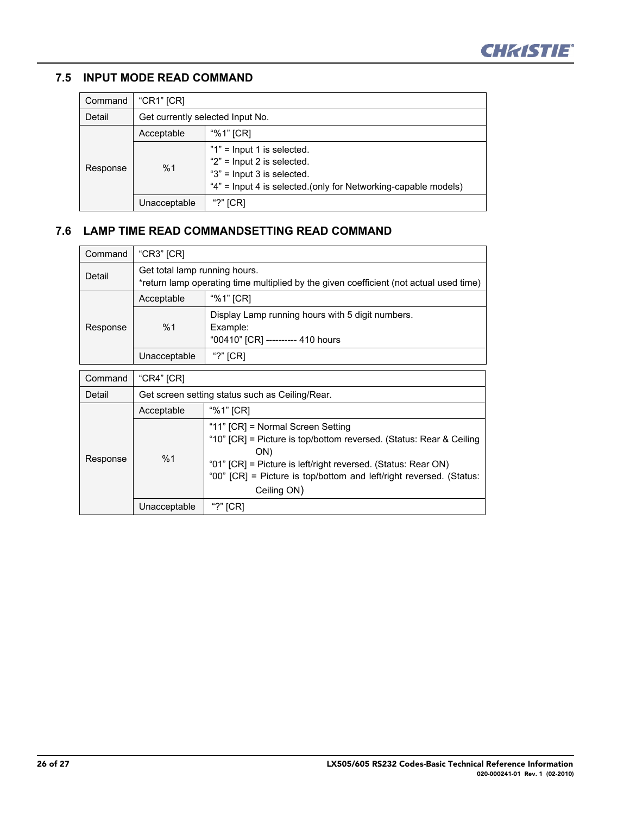

## **7.5 INPUT MODE READ COMMAND**

| Command  | "CR1" $[CR]$                     |                                                                                                                                                                  |
|----------|----------------------------------|------------------------------------------------------------------------------------------------------------------------------------------------------------------|
| Detail   | Get currently selected Input No. |                                                                                                                                                                  |
| Response | Acceptable                       | "%1" [CR]                                                                                                                                                        |
|          | %1                               | "1" = Input 1 is selected.<br>" $2$ " = Input 2 is selected.<br>" $3$ " = Input 3 is selected.<br>"4" = Input 4 is selected.(only for Networking-capable models) |
|          | Unacceptable                     | "?" $ICRI$                                                                                                                                                       |

## **7.6 LAMP TIME READ COMMANDSETTING READ COMMAND**

| Command  | "CR3" $ CR$                                                                                                             |                                                                                                                 |
|----------|-------------------------------------------------------------------------------------------------------------------------|-----------------------------------------------------------------------------------------------------------------|
| Detail   | Get total lamp running hours.<br>*return lamp operating time multiplied by the given coefficient (not actual used time) |                                                                                                                 |
|          | Acceptable                                                                                                              | "%1" [CR]                                                                                                       |
| Response | %1                                                                                                                      | Display Lamp running hours with 5 digit numbers.<br>Example:<br>"00410" [CR] --------- 410 hours                |
|          | Unacceptable                                                                                                            | "?" $[CR]$                                                                                                      |
| Command  | "CR4" [CR]                                                                                                              |                                                                                                                 |
| Detail   | Get screen setting status such as Ceiling/Rear.                                                                         |                                                                                                                 |
|          | Acceptable                                                                                                              | "%1" [CR]                                                                                                       |
|          | $\sim$ $\sim$                                                                                                           | "11" [CR] = Normal Screen Setting<br>"10" [CR] = Picture is top/bottom reversed. (Status: Rear & Ceiling<br>ON) |

Ceiling ON)

"01" [CR] = Picture is left/right reversed. (Status: Rear ON) "00" [CR] = Picture is top/bottom and left/right reversed. (Status:

Response

%1

Unacceptable | "?" [CR]